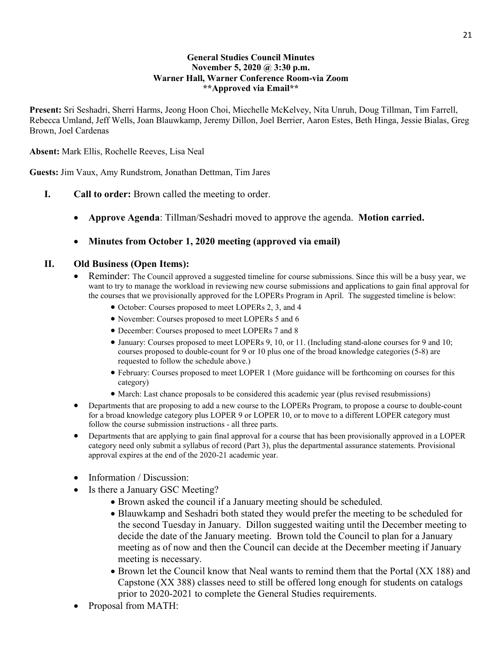#### **General Studies Council Minutes November 5, 2020 @ 3:30 p.m. Warner Hall, Warner Conference Room-via Zoom \*\*Approved via Email\*\***

**Present:** Sri Seshadri, Sherri Harms, Jeong Hoon Choi, Miechelle McKelvey, Nita Unruh, Doug Tillman, Tim Farrell, Rebecca Umland, Jeff Wells, Joan Blauwkamp, Jeremy Dillon, Joel Berrier, Aaron Estes, Beth Hinga, Jessie Bialas, Greg Brown, Joel Cardenas

**Absent:** Mark Ellis, Rochelle Reeves, Lisa Neal

**Guests:** Jim Vaux, Amy Rundstrom, Jonathan Dettman, Tim Jares

- **I. Call to order:** Brown called the meeting to order.
	- **Approve Agenda**: Tillman/Seshadri moved to approve the agenda. **Motion carried.**

### • **Minutes from October 1, 2020 meeting (approved via email)**

#### **II. Old Business (Open Items):**

- Reminder: The Council approved a suggested timeline for course submissions. Since this will be a busy year, we want to try to manage the workload in reviewing new course submissions and applications to gain final approval for the courses that we provisionally approved for the LOPERs Program in April. The suggested timeline is below:
	- October: Courses proposed to meet LOPERs 2, 3, and 4
	- November: Courses proposed to meet LOPERs 5 and 6
	- December: Courses proposed to meet LOPERs 7 and 8
	- January: Courses proposed to meet LOPERs 9, 10, or 11. (Including stand-alone courses for 9 and 10; courses proposed to double-count for 9 or 10 plus one of the broad knowledge categories (5-8) are requested to follow the schedule above.)
	- February: Courses proposed to meet LOPER 1 (More guidance will be forthcoming on courses for this category)
	- March: Last chance proposals to be considered this academic year (plus revised resubmissions)
- Departments that are proposing to add a new course to the LOPERs Program, to propose a course to double-count for a broad knowledge category plus LOPER 9 or LOPER 10, or to move to a different LOPER category must follow the course submission instructions - all three parts.
- Departments that are applying to gain final approval for a course that has been provisionally approved in a LOPER category need only submit a syllabus of record (Part 3), plus the departmental assurance statements. Provisional approval expires at the end of the 2020-21 academic year.
- Information / Discussion:
- Is there a January GSC Meeting?
	- Brown asked the council if a January meeting should be scheduled.
	- Blauwkamp and Seshadri both stated they would prefer the meeting to be scheduled for the second Tuesday in January. Dillon suggested waiting until the December meeting to decide the date of the January meeting. Brown told the Council to plan for a January meeting as of now and then the Council can decide at the December meeting if January meeting is necessary.
	- Brown let the Council know that Neal wants to remind them that the Portal (XX 188) and Capstone (XX 388) classes need to still be offered long enough for students on catalogs prior to 2020-2021 to complete the General Studies requirements.
- Proposal from MATH: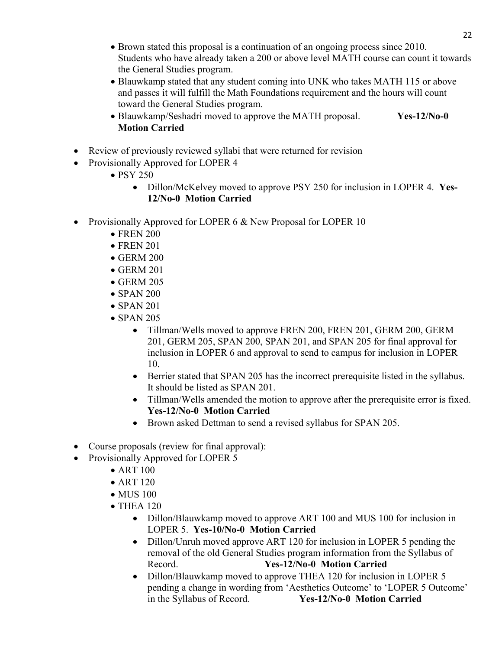- Brown stated this proposal is a continuation of an ongoing process since 2010. Students who have already taken a 200 or above level MATH course can count it towards the General Studies program.
- Blauwkamp stated that any student coming into UNK who takes MATH 115 or above and passes it will fulfill the Math Foundations requirement and the hours will count toward the General Studies program.
- Blauwkamp/Seshadri moved to approve the MATH proposal. **Yes-12/No-0 Motion Carried**
- Review of previously reviewed syllabi that were returned for revision
- Provisionally Approved for LOPER 4
	- PSY 250
		- Dillon/McKelvey moved to approve PSY 250 for inclusion in LOPER 4. **Yes-12/No-0 Motion Carried**
- Provisionally Approved for LOPER 6 & New Proposal for LOPER 10
	- FREN 200
	- FREN 201
	- GERM 200
	- GERM 201
	- $\bullet$  GERM 205
	- SPAN 200
	- $\bullet$  SPAN 201
	- SPAN 205
		- Tillman/Wells moved to approve FREN 200, FREN 201, GERM 200, GERM 201, GERM 205, SPAN 200, SPAN 201, and SPAN 205 for final approval for inclusion in LOPER 6 and approval to send to campus for inclusion in LOPER 10.
		- Berrier stated that SPAN 205 has the incorrect prerequisite listed in the syllabus. It should be listed as SPAN 201.
		- Tillman/Wells amended the motion to approve after the prerequisite error is fixed. **Yes-12/No-0 Motion Carried**
		- Brown asked Dettman to send a revised syllabus for SPAN 205.
- Course proposals (review for final approval):
- Provisionally Approved for LOPER 5
	- ART 100
	- ART 120
	- $\bullet$  MUS 100
	- THEA 120
		- Dillon/Blauwkamp moved to approve ART 100 and MUS 100 for inclusion in LOPER 5. **Yes-10/No-0 Motion Carried**
		- Dillon/Unruh moved approve ART 120 for inclusion in LOPER 5 pending the removal of the old General Studies program information from the Syllabus of Record. **Yes-12/No-0 Motion Carried**
		- Dillon/Blauwkamp moved to approve THEA 120 for inclusion in LOPER 5 pending a change in wording from 'Aesthetics Outcome' to 'LOPER 5 Outcome' in the Syllabus of Record. **Yes-12/No-0 Motion Carried**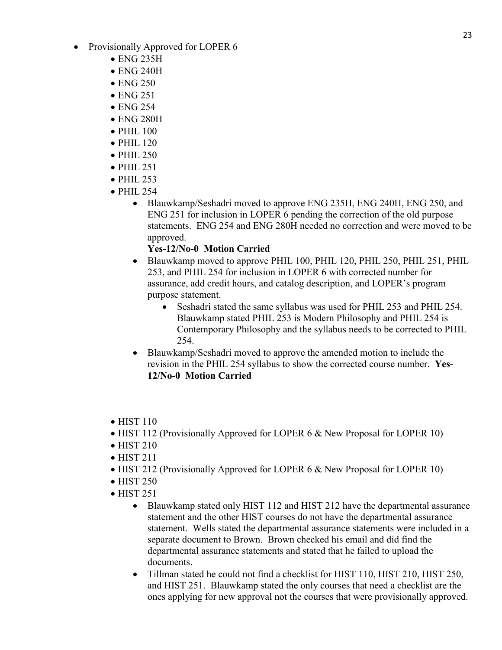- Provisionally Approved for LOPER 6
	- ENG 235H
	- ENG 240H
	- $\bullet$  ENG 250
	- ENG 251
	- ENG 254
	- ENG 280H
	- PHIL 100
	- $\bullet$  PHIL 120
	- PHIL 250
	- PHIL 251
	- PHIL 253
	- PHIL 254
		- Blauwkamp/Seshadri moved to approve ENG 235H, ENG 240H, ENG 250, and ENG 251 for inclusion in LOPER 6 pending the correction of the old purpose statements. ENG 254 and ENG 280H needed no correction and were moved to be approved.

## **Yes-12/No-0 Motion Carried**

- Blauwkamp moved to approve PHIL 100, PHIL 120, PHIL 250, PHIL 251, PHIL 253, and PHIL 254 for inclusion in LOPER 6 with corrected number for assurance, add credit hours, and catalog description, and LOPER's program purpose statement.
	- Seshadri stated the same syllabus was used for PHIL 253 and PHIL 254. Blauwkamp stated PHIL 253 is Modern Philosophy and PHIL 254 is Contemporary Philosophy and the syllabus needs to be corrected to PHIL 254.
- Blauwkamp/Seshadri moved to approve the amended motion to include the revision in the PHIL 254 syllabus to show the corrected course number. **Yes-12/No-0 Motion Carried**
- $\bullet$  HIST 110
- HIST 112 (Provisionally Approved for LOPER 6 & New Proposal for LOPER 10)
- HIST 210
- HIST 211
- HIST 212 (Provisionally Approved for LOPER 6 & New Proposal for LOPER 10)
- HIST 250
- HIST 251
	- Blauwkamp stated only HIST 112 and HIST 212 have the departmental assurance statement and the other HIST courses do not have the departmental assurance statement. Wells stated the departmental assurance statements were included in a separate document to Brown. Brown checked his email and did find the departmental assurance statements and stated that he failed to upload the documents.
	- Tillman stated he could not find a checklist for HIST 110, HIST 210, HIST 250, and HIST 251. Blauwkamp stated the only courses that need a checklist are the ones applying for new approval not the courses that were provisionally approved.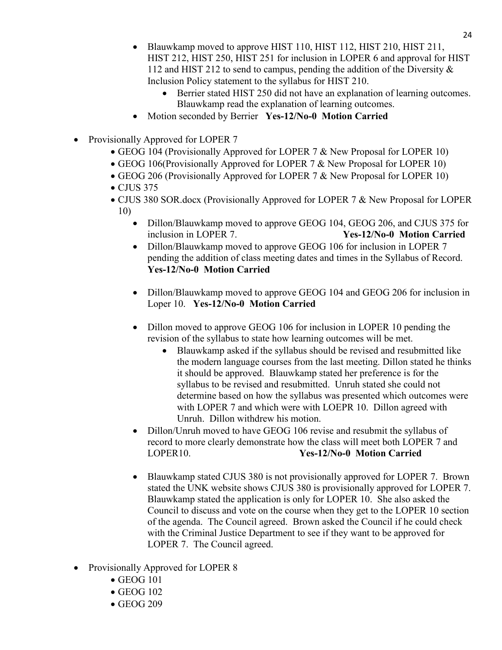- Blauwkamp moved to approve HIST 110, HIST 112, HIST 210, HIST 211, HIST 212, HIST 250, HIST 251 for inclusion in LOPER 6 and approval for HIST 112 and HIST 212 to send to campus, pending the addition of the Diversity & Inclusion Policy statement to the syllabus for HIST 210.
	- Berrier stated HIST 250 did not have an explanation of learning outcomes. Blauwkamp read the explanation of learning outcomes.
- Motion seconded by Berrier **Yes-12/No-0 Motion Carried**
- Provisionally Approved for LOPER 7
	- GEOG 104 (Provisionally Approved for LOPER 7 & New Proposal for LOPER 10)
	- GEOG 106(Provisionally Approved for LOPER 7 & New Proposal for LOPER 10)
	- GEOG 206 (Provisionally Approved for LOPER 7 & New Proposal for LOPER 10)
	- CJUS 375
	- CJUS 380 SOR.docx (Provisionally Approved for LOPER 7 & New Proposal for LOPER 10)
		- Dillon/Blauwkamp moved to approve GEOG 104, GEOG 206, and CJUS 375 for inclusion in LOPER 7. **Yes-12/No-0 Motion Carried**
		- Dillon/Blauwkamp moved to approve GEOG 106 for inclusion in LOPER 7 pending the addition of class meeting dates and times in the Syllabus of Record. **Yes-12/No-0 Motion Carried**
		- Dillon/Blauwkamp moved to approve GEOG 104 and GEOG 206 for inclusion in Loper 10. **Yes-12/No-0 Motion Carried**
		- Dillon moved to approve GEOG 106 for inclusion in LOPER 10 pending the revision of the syllabus to state how learning outcomes will be met.
			- Blauwkamp asked if the syllabus should be revised and resubmitted like the modern language courses from the last meeting. Dillon stated he thinks it should be approved. Blauwkamp stated her preference is for the syllabus to be revised and resubmitted. Unruh stated she could not determine based on how the syllabus was presented which outcomes were with LOPER 7 and which were with LOEPR 10. Dillon agreed with Unruh. Dillon withdrew his motion.
		- Dillon/Unruh moved to have GEOG 106 revise and resubmit the syllabus of record to more clearly demonstrate how the class will meet both LOPER 7 and LOPER10. **Yes-12/No-0 Motion Carried**
		- Blauwkamp stated CJUS 380 is not provisionally approved for LOPER 7. Brown stated the UNK website shows CJUS 380 is provisionally approved for LOPER 7. Blauwkamp stated the application is only for LOPER 10. She also asked the Council to discuss and vote on the course when they get to the LOPER 10 section of the agenda. The Council agreed. Brown asked the Council if he could check with the Criminal Justice Department to see if they want to be approved for LOPER 7. The Council agreed.
- Provisionally Approved for LOPER 8
	- GEOG 101
	- GEOG 102
	- GEOG 209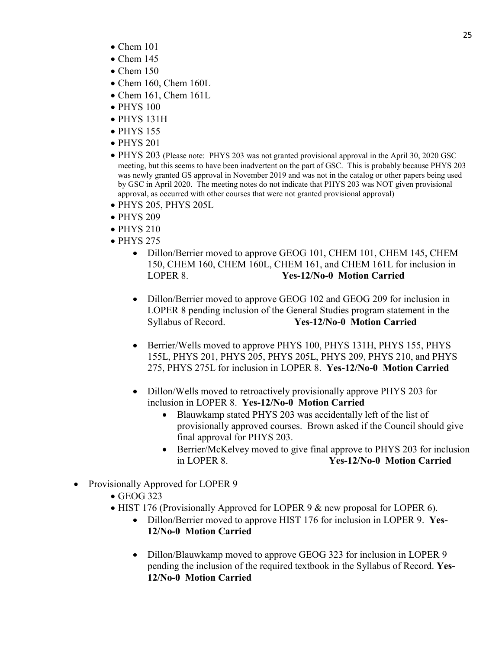- $\bullet$  Chem 101
- $\bullet$  Chem 145
- Chem  $150$
- Chem 160, Chem 160L
- Chem 161, Chem 161L
- PHYS 100
- PHYS 131H
- PHYS 155
- PHYS 201
- PHYS 203 (Please note: PHYS 203 was not granted provisional approval in the April 30, 2020 GSC meeting, but this seems to have been inadvertent on the part of GSC. This is probably because PHYS 203 was newly granted GS approval in November 2019 and was not in the catalog or other papers being used by GSC in April 2020. The meeting notes do not indicate that PHYS 203 was NOT given provisional approval, as occurred with other courses that were not granted provisional approval)
- PHYS 205, PHYS 205L
- PHYS 209
- PHYS 210
- PHYS 275
	- Dillon/Berrier moved to approve GEOG 101, CHEM 101, CHEM 145, CHEM 150, CHEM 160, CHEM 160L, CHEM 161, and CHEM 161L for inclusion in LOPER 8. **Yes-12/No-0 Motion Carried**
	- Dillon/Berrier moved to approve GEOG 102 and GEOG 209 for inclusion in LOPER 8 pending inclusion of the General Studies program statement in the Syllabus of Record. **Yes-12/No-0 Motion Carried**
	- Berrier/Wells moved to approve PHYS 100, PHYS 131H, PHYS 155, PHYS 155L, PHYS 201, PHYS 205, PHYS 205L, PHYS 209, PHYS 210, and PHYS 275, PHYS 275L for inclusion in LOPER 8. **Yes-12/No-0 Motion Carried**
	- Dillon/Wells moved to retroactively provisionally approve PHYS 203 for inclusion in LOPER 8. **Yes-12/No-0 Motion Carried**
		- Blauwkamp stated PHYS 203 was accidentally left of the list of provisionally approved courses. Brown asked if the Council should give final approval for PHYS 203.
		- Berrier/McKelvey moved to give final approve to PHYS 203 for inclusion in LOPER 8. **Yes-12/No-0 Motion Carried**
- Provisionally Approved for LOPER 9
	- GEOG 323
	- HIST 176 (Provisionally Approved for LOPER 9 & new proposal for LOPER 6).
		- Dillon/Berrier moved to approve HIST 176 for inclusion in LOPER 9. **Yes-12/No-0 Motion Carried**
		- Dillon/Blauwkamp moved to approve GEOG 323 for inclusion in LOPER 9 pending the inclusion of the required textbook in the Syllabus of Record. **Yes-12/No-0 Motion Carried**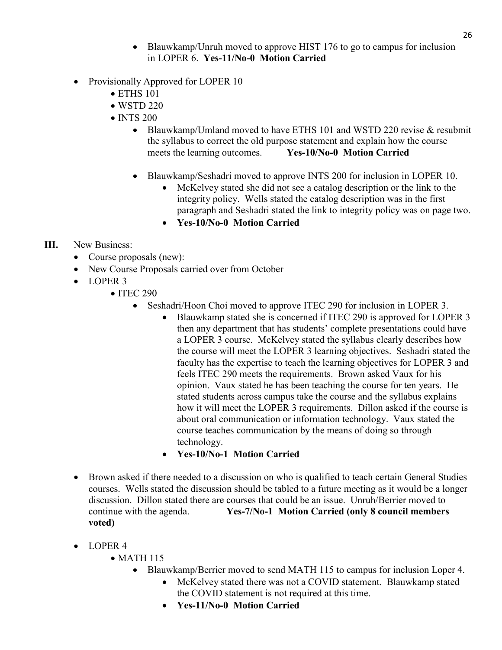- Blauwkamp/Unruh moved to approve HIST 176 to go to campus for inclusion in LOPER 6. **Yes-11/No-0 Motion Carried**
- Provisionally Approved for LOPER 10
	- ETHS 101
	- WSTD 220
	- INTS 200
		- Blauwkamp/Umland moved to have ETHS 101 and WSTD 220 revise & resubmit the syllabus to correct the old purpose statement and explain how the course meets the learning outcomes. **Yes-10/No-0 Motion Carried**
		- Blauwkamp/Seshadri moved to approve INTS 200 for inclusion in LOPER 10.
			- McKelvey stated she did not see a catalog description or the link to the integrity policy. Wells stated the catalog description was in the first paragraph and Seshadri stated the link to integrity policy was on page two.
			- **Yes-10/No-0 Motion Carried**

## **III.** New Business:

- Course proposals (new):
- New Course Proposals carried over from October
- LOPER 3
	- ITEC 290
		- Seshadri/Hoon Choi moved to approve ITEC 290 for inclusion in LOPER 3.
			- Blauwkamp stated she is concerned if ITEC 290 is approved for LOPER 3 then any department that has students' complete presentations could have a LOPER 3 course. McKelvey stated the syllabus clearly describes how the course will meet the LOPER 3 learning objectives. Seshadri stated the faculty has the expertise to teach the learning objectives for LOPER 3 and feels ITEC 290 meets the requirements. Brown asked Vaux for his opinion. Vaux stated he has been teaching the course for ten years. He stated students across campus take the course and the syllabus explains how it will meet the LOPER 3 requirements. Dillon asked if the course is about oral communication or information technology. Vaux stated the course teaches communication by the means of doing so through technology.
			- **Yes-10/No-1 Motion Carried**
- Brown asked if there needed to a discussion on who is qualified to teach certain General Studies courses. Wells stated the discussion should be tabled to a future meeting as it would be a longer discussion. Dillon stated there are courses that could be an issue. Unruh/Berrier moved to continue with the agenda. **Yes-7/No-1 Motion Carried (only 8 council members voted)**
- LOPER 4
	- MATH 115
		- Blauwkamp/Berrier moved to send MATH 115 to campus for inclusion Loper 4.
			- McKelvey stated there was not a COVID statement. Blauwkamp stated the COVID statement is not required at this time.
			- **Yes-11/No-0 Motion Carried**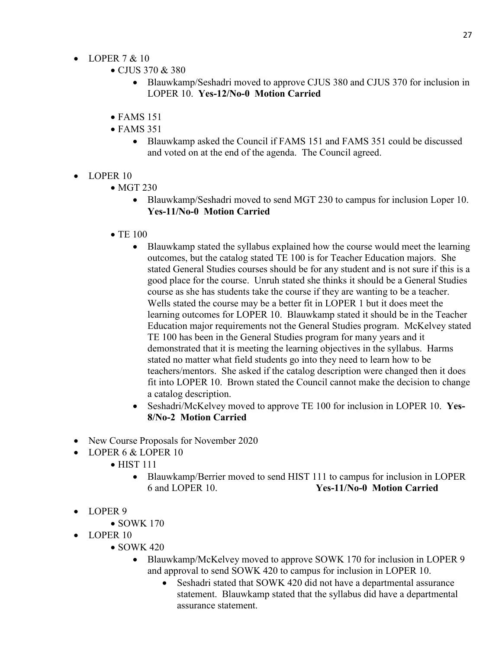- LOPER  $7 < 10$ 
	- CJUS 370 & 380
		- Blauwkamp/Seshadri moved to approve CJUS 380 and CJUS 370 for inclusion in LOPER 10. **Yes-12/No-0 Motion Carried**
	- FAMS 151
	- FAMS 351
		- Blauwkamp asked the Council if FAMS 151 and FAMS 351 could be discussed and voted on at the end of the agenda. The Council agreed.
- LOPER 10
	- MGT 230
		- Blauwkamp/Seshadri moved to send MGT 230 to campus for inclusion Loper 10. **Yes-11/No-0 Motion Carried**
	- TE 100
		- Blauwkamp stated the syllabus explained how the course would meet the learning outcomes, but the catalog stated TE 100 is for Teacher Education majors. She stated General Studies courses should be for any student and is not sure if this is a good place for the course. Unruh stated she thinks it should be a General Studies course as she has students take the course if they are wanting to be a teacher. Wells stated the course may be a better fit in LOPER 1 but it does meet the learning outcomes for LOPER 10. Blauwkamp stated it should be in the Teacher Education major requirements not the General Studies program. McKelvey stated TE 100 has been in the General Studies program for many years and it demonstrated that it is meeting the learning objectives in the syllabus. Harms stated no matter what field students go into they need to learn how to be teachers/mentors. She asked if the catalog description were changed then it does fit into LOPER 10. Brown stated the Council cannot make the decision to change a catalog description.
		- Seshadri/McKelvey moved to approve TE 100 for inclusion in LOPER 10. **Yes-8/No-2 Motion Carried**
- New Course Proposals for November 2020
- LOPER 6 & LOPER 10
	- **HIST 111** 
		- Blauwkamp/Berrier moved to send HIST 111 to campus for inclusion in LOPER 6 and LOPER 10. **Yes-11/No-0 Motion Carried**
- LOPER 9
	- SOWK 170
- LOPER 10
	- $\bullet$  SOWK 420
		- Blauwkamp/McKelvey moved to approve SOWK 170 for inclusion in LOPER 9 and approval to send SOWK 420 to campus for inclusion in LOPER 10.
			- Seshadri stated that SOWK 420 did not have a departmental assurance statement. Blauwkamp stated that the syllabus did have a departmental assurance statement.